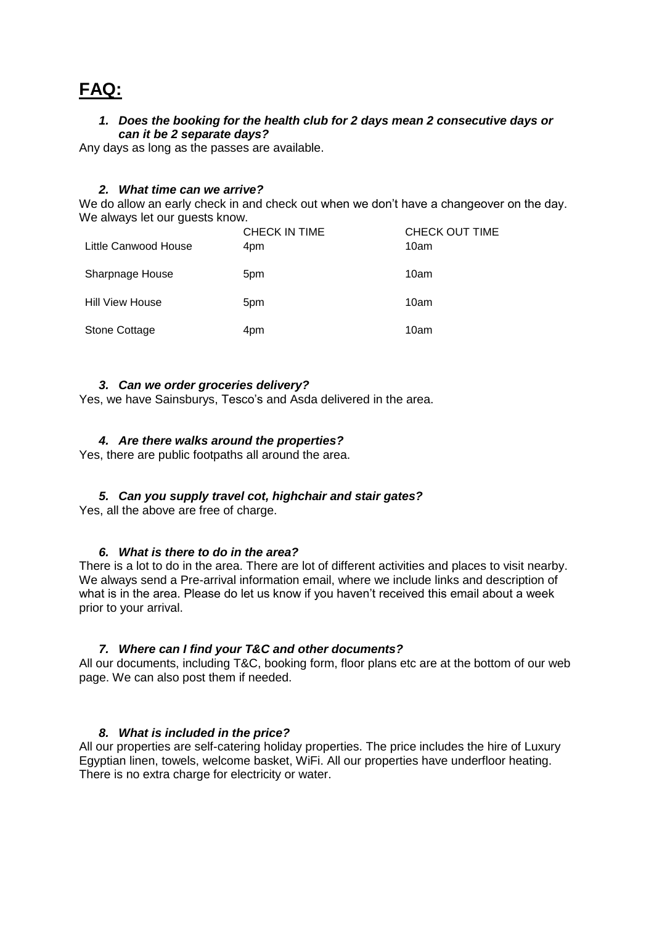# **FAQ:**

#### *1. Does the booking for the health club for 2 days mean 2 consecutive days or can it be 2 separate days?*

Any days as long as the passes are available.

#### *2. What time can we arrive?*

We do allow an early check in and check out when we don't have a changeover on the day. We always let our quests know.

| Little Canwood House   | <b>CHECK IN TIME</b><br>4pm | CHECK OUT TIME<br>10am |
|------------------------|-----------------------------|------------------------|
| Sharpnage House        | 5pm                         | 10am                   |
| <b>Hill View House</b> | 5pm                         | 10am                   |
| Stone Cottage          | 4pm                         | 10am                   |

#### *3. Can we order groceries delivery?*

Yes, we have Sainsburys, Tesco's and Asda delivered in the area.

# *4. Are there walks around the properties?*

Yes, there are public footpaths all around the area.

# *5. Can you supply travel cot, highchair and stair gates?*

Yes, all the above are free of charge.

# *6. What is there to do in the area?*

There is a lot to do in the area. There are lot of different activities and places to visit nearby. We always send a Pre-arrival information email, where we include links and description of what is in the area. Please do let us know if you haven't received this email about a week prior to your arrival.

# *7. Where can I find your T&C and other documents?*

All our documents, including T&C, booking form, floor plans etc are at the bottom of our web page. We can also post them if needed.

# *8. What is included in the price?*

All our properties are self-catering holiday properties. The price includes the hire of Luxury Egyptian linen, towels, welcome basket, WiFi. All our properties have underfloor heating. There is no extra charge for electricity or water.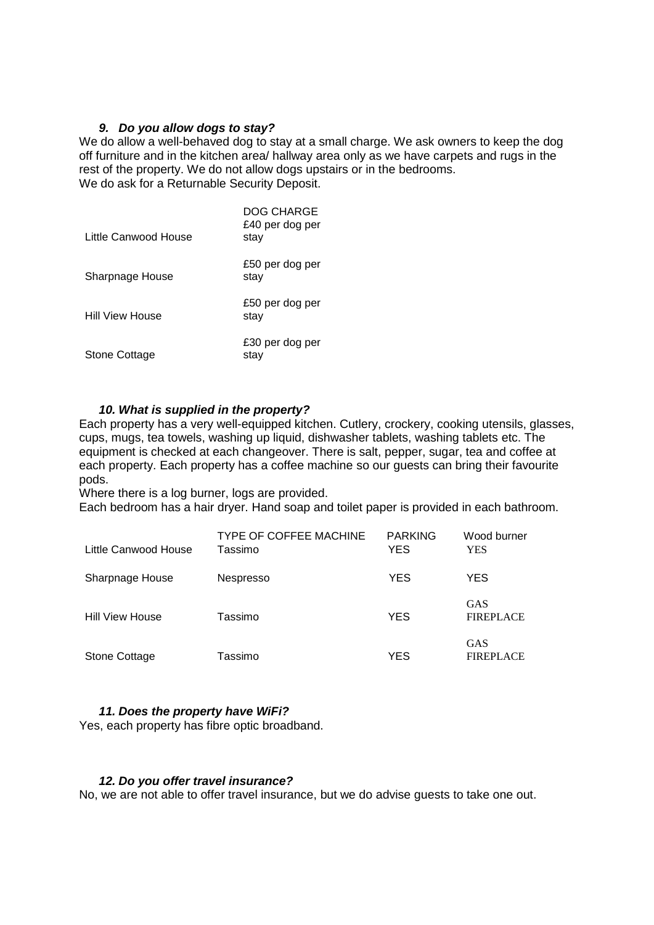#### *9. Do you allow dogs to stay?*

We do allow a well-behaved dog to stay at a small charge. We ask owners to keep the dog off furniture and in the kitchen area/ hallway area only as we have carpets and rugs in the rest of the property. We do not allow dogs upstairs or in the bedrooms. We do ask for a Returnable Security Deposit.

| Little Canwood House   | DOG CHARGE<br>£40 per dog per<br>stay |
|------------------------|---------------------------------------|
| Sharpnage House        | £50 per dog per<br>stay               |
| <b>Hill View House</b> | £50 per dog per<br>stay               |
| Stone Cottage          | £30 per dog per<br>stav               |

# *10. What is supplied in the property?*

Each property has a very well-equipped kitchen. Cutlery, crockery, cooking utensils, glasses, cups, mugs, tea towels, washing up liquid, dishwasher tablets, washing tablets etc. The equipment is checked at each changeover. There is salt, pepper, sugar, tea and coffee at each property. Each property has a coffee machine so our guests can bring their favourite pods.

Where there is a log burner, logs are provided.

Each bedroom has a hair dryer. Hand soap and toilet paper is provided in each bathroom.

| Little Canwood House   | <b>TYPE OF COFFEE MACHINE</b><br>Tassimo | <b>PARKING</b><br><b>YES</b> | Wood burner<br>YES             |
|------------------------|------------------------------------------|------------------------------|--------------------------------|
| Sharpnage House        | <b>Nespresso</b>                         | <b>YES</b>                   | <b>YES</b>                     |
| <b>Hill View House</b> | Tassimo                                  | <b>YES</b>                   | <b>GAS</b><br><b>FIREPLACE</b> |
| <b>Stone Cottage</b>   | Tassimo                                  | YES                          | <b>GAS</b><br><b>FIREPLACE</b> |

#### *11. Does the property have WiFi?*

Yes, each property has fibre optic broadband.

#### *12. Do you offer travel insurance?*

No, we are not able to offer travel insurance, but we do advise guests to take one out.